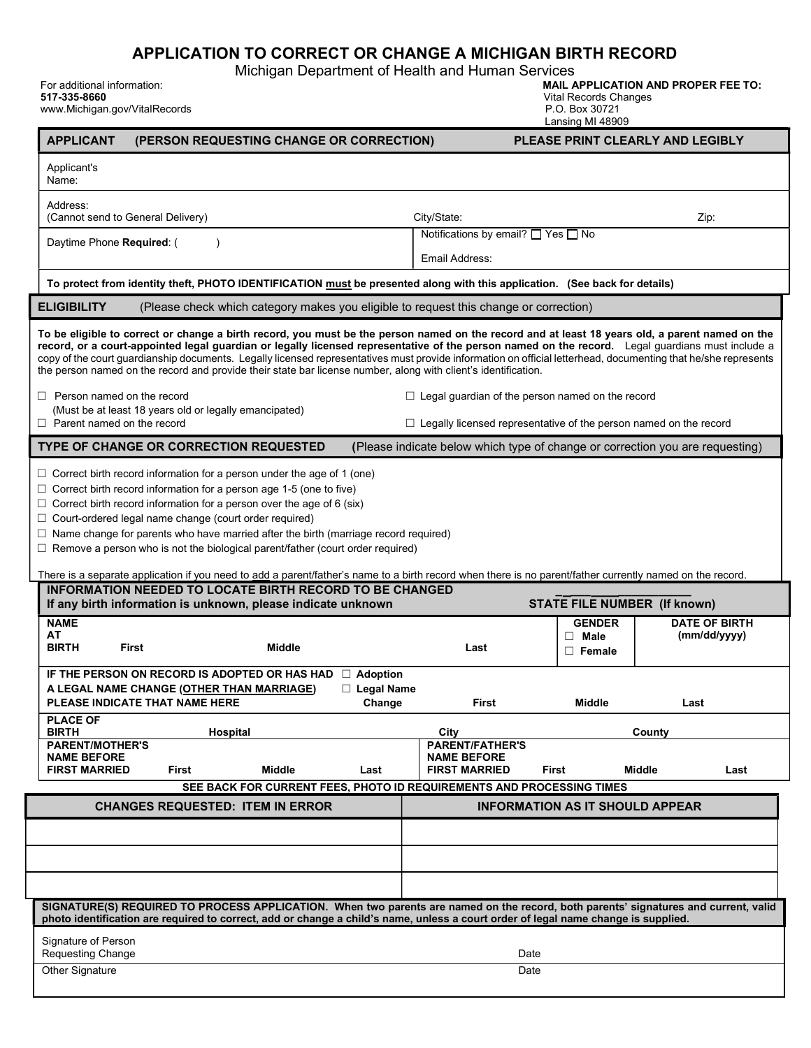# APPLICATION TO CORRECT OR CHANGE A MICHIGAN BIRTH RECORD

Michigan Department of Health and Human Services

517-335-8660 Vital Records Changes

www.Michigan.gov/VitalRecords

For additional information: MAIL APPLICATION AND PROPER FEE TO:

|  | vital Records Unanger |  |
|--|-----------------------|--|
|  | D O DAY 20721         |  |

P.O. Box 30721<br>Lansing MI 48909

|                                                                                                                                                                                                                                                                                                                                                                                                                                                                                                                                                                                                                                                                                         | PLEASE PRINT CLEARLY AND LEGIBLY<br>(PERSON REQUESTING CHANGE OR CORRECTION) |                                                                               |                                        |                      |  |  |  |  |
|-----------------------------------------------------------------------------------------------------------------------------------------------------------------------------------------------------------------------------------------------------------------------------------------------------------------------------------------------------------------------------------------------------------------------------------------------------------------------------------------------------------------------------------------------------------------------------------------------------------------------------------------------------------------------------------------|------------------------------------------------------------------------------|-------------------------------------------------------------------------------|----------------------------------------|----------------------|--|--|--|--|
| Applicant's<br>Name:                                                                                                                                                                                                                                                                                                                                                                                                                                                                                                                                                                                                                                                                    |                                                                              |                                                                               |                                        |                      |  |  |  |  |
| Address:<br>(Cannot send to General Delivery)                                                                                                                                                                                                                                                                                                                                                                                                                                                                                                                                                                                                                                           |                                                                              | City/State:                                                                   |                                        | Zip:                 |  |  |  |  |
| Daytime Phone Required: (<br>$\lambda$                                                                                                                                                                                                                                                                                                                                                                                                                                                                                                                                                                                                                                                  |                                                                              | Notifications by email? $\Box$ Yes $\Box$ No<br>Email Address:                |                                        |                      |  |  |  |  |
|                                                                                                                                                                                                                                                                                                                                                                                                                                                                                                                                                                                                                                                                                         |                                                                              |                                                                               |                                        |                      |  |  |  |  |
| To protect from identity theft, PHOTO IDENTIFICATION must be presented along with this application. (See back for details)<br><b>ELIGIBILITY</b><br>(Please check which category makes you eligible to request this change or correction)                                                                                                                                                                                                                                                                                                                                                                                                                                               |                                                                              |                                                                               |                                        |                      |  |  |  |  |
| To be eligible to correct or change a birth record, you must be the person named on the record and at least 18 years old, a parent named on the<br>record, or a court-appointed legal guardian or legally licensed representative of the person named on the record. Legal guardians must include a<br>copy of the court guardianship documents. Legally licensed representatives must provide information on official letterhead, documenting that he/she represents<br>the person named on the record and provide their state bar license number, along with client's identification.<br>$\Box$ Person named on the record<br>$\Box$ Legal guardian of the person named on the record |                                                                              |                                                                               |                                        |                      |  |  |  |  |
| (Must be at least 18 years old or legally emancipated)<br>$\Box$ Parent named on the record                                                                                                                                                                                                                                                                                                                                                                                                                                                                                                                                                                                             |                                                                              | $\Box$ Legally licensed representative of the person named on the record      |                                        |                      |  |  |  |  |
| <b>TYPE OF CHANGE OR CORRECTION REQUESTED</b>                                                                                                                                                                                                                                                                                                                                                                                                                                                                                                                                                                                                                                           |                                                                              | (Please indicate below which type of change or correction you are requesting) |                                        |                      |  |  |  |  |
| $\Box$ Correct birth record information for a person under the age of 1 (one)<br>$\Box$ Correct birth record information for a person age 1-5 (one to five)<br>$\Box$ Correct birth record information for a person over the age of 6 (six)<br>$\Box$ Court-ordered legal name change (court order required)<br>$\Box$ Name change for parents who have married after the birth (marriage record required)<br>$\Box$ Remove a person who is not the biological parent/father (court order required)<br>There is a separate application if you need to add a parent/father's name to a birth record when there is no parent/father currently named on the record.                        |                                                                              |                                                                               |                                        |                      |  |  |  |  |
|                                                                                                                                                                                                                                                                                                                                                                                                                                                                                                                                                                                                                                                                                         |                                                                              |                                                                               |                                        |                      |  |  |  |  |
| <b>INFORMATION NEEDED TO LOCATE BIRTH RECORD TO BE CHANGED</b><br>If any birth information is unknown, please indicate unknown                                                                                                                                                                                                                                                                                                                                                                                                                                                                                                                                                          |                                                                              |                                                                               | <b>STATE FILE NUMBER (If known)</b>    |                      |  |  |  |  |
| <b>NAME</b><br>AΤ                                                                                                                                                                                                                                                                                                                                                                                                                                                                                                                                                                                                                                                                       |                                                                              |                                                                               | <b>GENDER</b>                          | <b>DATE OF BIRTH</b> |  |  |  |  |
| <b>BIRTH</b><br><b>First</b><br><b>Middle</b>                                                                                                                                                                                                                                                                                                                                                                                                                                                                                                                                                                                                                                           |                                                                              | Last                                                                          | $\Box$ Male<br>$\Box$ Female           | (mm/dd/yyyy)         |  |  |  |  |
| IF THE PERSON ON RECORD IS ADOPTED OR HAS HAD                                                                                                                                                                                                                                                                                                                                                                                                                                                                                                                                                                                                                                           | $\Box$ Adoption                                                              |                                                                               |                                        |                      |  |  |  |  |
| A LEGAL NAME CHANGE (OTHER THAN MARRIAGE)<br>PLEASE INDICATE THAT NAME HERE                                                                                                                                                                                                                                                                                                                                                                                                                                                                                                                                                                                                             | $\Box$ Legal Name<br>Change                                                  | First                                                                         | Middle                                 | Last                 |  |  |  |  |
| <b>PLACE OF</b>                                                                                                                                                                                                                                                                                                                                                                                                                                                                                                                                                                                                                                                                         |                                                                              |                                                                               |                                        |                      |  |  |  |  |
| <b>BIRTH</b><br>Hospital<br><b>PARENT/MOTHER'S</b><br><b>NAME BEFORE</b>                                                                                                                                                                                                                                                                                                                                                                                                                                                                                                                                                                                                                |                                                                              | City<br><b>PARENT/FATHER'S</b><br><b>NAME BEFORE</b>                          |                                        | County               |  |  |  |  |
| <b>FIRST MARRIED</b><br><b>Middle</b><br>First<br>SEE BACK FOR CURRENT FEES, PHOTO ID REQUIREMENTS AND PROCESSING TIMES                                                                                                                                                                                                                                                                                                                                                                                                                                                                                                                                                                 | Last                                                                         | <b>FIRST MARRIED</b>                                                          | First<br><b>Middle</b>                 | Last                 |  |  |  |  |
| <b>CHANGES REQUESTED: ITEM IN ERROR</b>                                                                                                                                                                                                                                                                                                                                                                                                                                                                                                                                                                                                                                                 |                                                                              |                                                                               | <b>INFORMATION AS IT SHOULD APPEAR</b> |                      |  |  |  |  |
|                                                                                                                                                                                                                                                                                                                                                                                                                                                                                                                                                                                                                                                                                         |                                                                              |                                                                               |                                        |                      |  |  |  |  |
|                                                                                                                                                                                                                                                                                                                                                                                                                                                                                                                                                                                                                                                                                         |                                                                              |                                                                               |                                        |                      |  |  |  |  |
|                                                                                                                                                                                                                                                                                                                                                                                                                                                                                                                                                                                                                                                                                         |                                                                              |                                                                               |                                        |                      |  |  |  |  |
| SIGNATURE(S) REQUIRED TO PROCESS APPLICATION. When two parents are named on the record, both parents' signatures and current, valid<br>photo identification are required to correct, add or change a child's name, unless a court order of legal name change is supplied.                                                                                                                                                                                                                                                                                                                                                                                                               |                                                                              |                                                                               |                                        |                      |  |  |  |  |
| Signature of Person<br>Requesting Change                                                                                                                                                                                                                                                                                                                                                                                                                                                                                                                                                                                                                                                |                                                                              | Date                                                                          |                                        |                      |  |  |  |  |